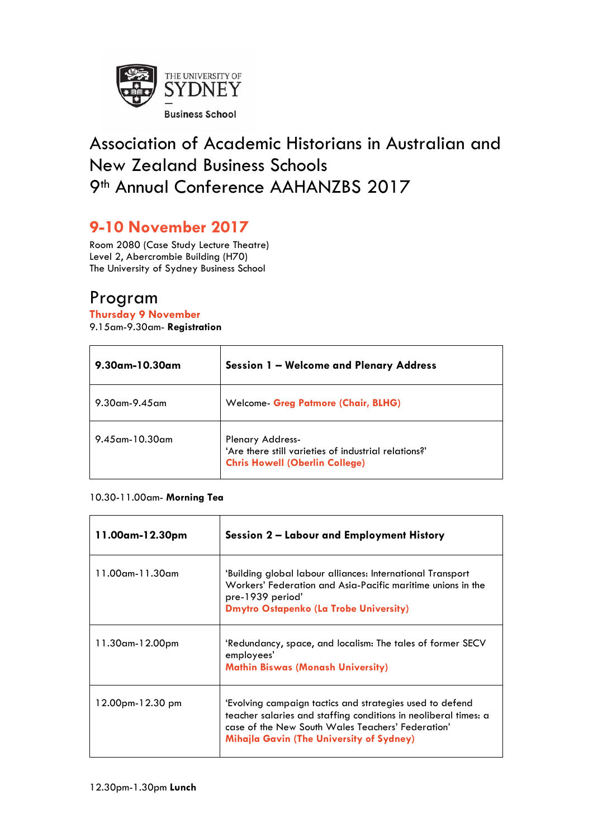

# Association of Academic Historians in Australian and New Zealand Business Schools 9<sup>th</sup> Annual Conference AAHANZBS 2017

## **9-10 November 2017**

Room 2080 (Case Study Lecture Theatre) Level 2, Abercrombie Building (H70) The University of Sydney Business School

## Program

#### **Thursday 9 November**

9.15am-9.30am- **Registration** 

| 9.30am-10.30am       | <b>Session 1 - Welcome and Plenary Address</b>                                                                           |
|----------------------|--------------------------------------------------------------------------------------------------------------------------|
| $9.30$ am- $9.45$ am | <b>Welcome- Greg Patmore (Chair, BLHG)</b>                                                                               |
| $9.45$ am-10.30am    | <b>Plenary Address-</b><br>'Are there still varieties of industrial relations?'<br><b>Chris Howell (Oberlin College)</b> |

#### 10.30-11.00am- **Morning Tea**

| 11.00am-12.30pm  | Session 2 - Labour and Employment History                                                                                                                                                                                           |
|------------------|-------------------------------------------------------------------------------------------------------------------------------------------------------------------------------------------------------------------------------------|
| 11.00am-11.30am  | 'Building global labour alliances: International Transport<br>Workers' Federation and Asia-Pacific maritime unions in the<br>pre-1939 period'<br><b>Dmytro Ostapenko (La Trobe University)</b>                                      |
| 11.30am-12.00pm  | 'Redundancy, space, and localism: The tales of former SECV<br>employees'<br><b>Mathin Biswas (Monash University)</b>                                                                                                                |
| 12.00pm-12.30 pm | 'Evolving campaign tactics and strategies used to defend<br>teacher salaries and staffing conditions in neoliberal times: a<br>case of the New South Wales Teachers' Federation'<br><b>Mihajla Gavin (The University of Sydney)</b> |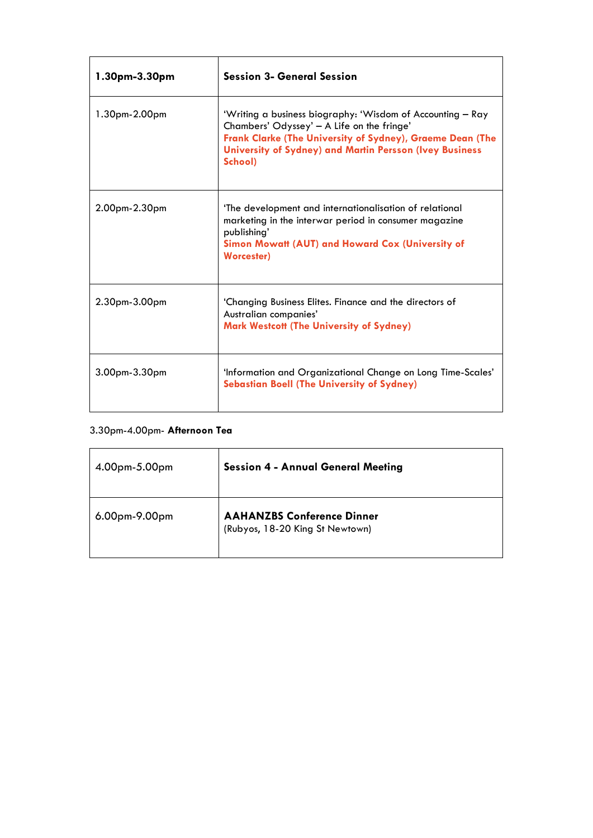| 1.30pm-3.30pm   | <b>Session 3- General Session</b>                                                                                                                                                                                                                  |
|-----------------|----------------------------------------------------------------------------------------------------------------------------------------------------------------------------------------------------------------------------------------------------|
| $1.30pm-2.00pm$ | 'Writing a business biography: 'Wisdom of Accounting - Ray<br>Chambers' Odyssey' - A Life on the fringe'<br>Frank Clarke (The University of Sydney), Graeme Dean (The<br><b>University of Sydney) and Martin Persson (Ivey Business</b><br>School) |
| $2.00pm-2.30pm$ | 'The development and internationalisation of relational<br>marketing in the interwar period in consumer magazine<br>publishing'<br>Simon Mowatt (AUT) and Howard Cox (University of<br><b>Worcester)</b>                                           |
| 2.30pm-3.00pm   | 'Changing Business Elites. Finance and the directors of<br>Australian companies'<br><b>Mark Westcott (The University of Sydney)</b>                                                                                                                |
| 3.00pm-3.30pm   | 'Information and Organizational Change on Long Time-Scales'<br><b>Sebastian Boell (The University of Sydney)</b>                                                                                                                                   |

#### 3.30pm-4.00pm- **Afternoon Tea**

| 4.00pm-5.00pm | <b>Session 4 - Annual General Meeting</b>                            |
|---------------|----------------------------------------------------------------------|
| 6.00pm-9.00pm | <b>AAHANZBS Conference Dinner</b><br>(Rubyos, 18-20 King St Newtown) |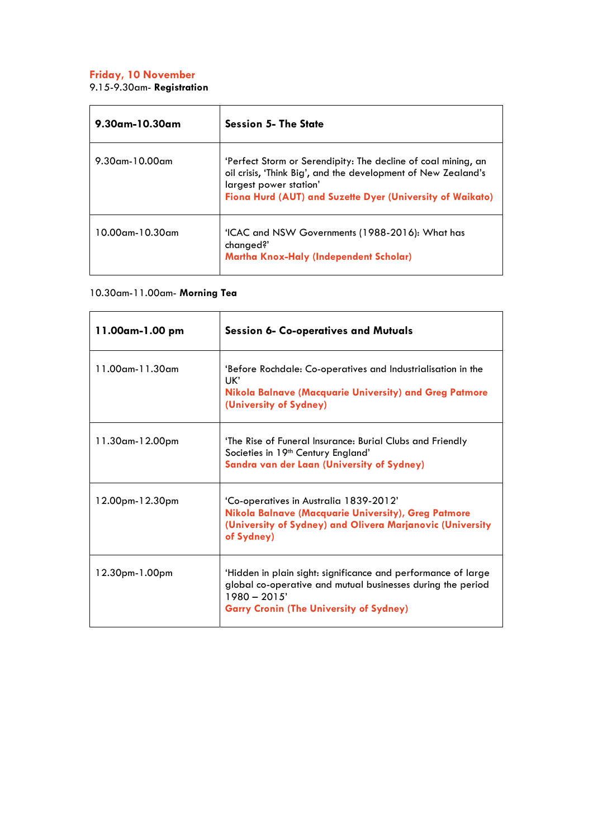#### **Friday, 10 November**

9.15-9.30am- **Registration** 

| $9.30$ am-10.30am | <b>Session 5- The State</b>                                                                                                                                                                                           |
|-------------------|-----------------------------------------------------------------------------------------------------------------------------------------------------------------------------------------------------------------------|
| $9.30$ am-10.00am | 'Perfect Storm or Serendipity: The decline of coal mining, an<br>oil crisis, 'Think Big', and the development of New Zealand's<br>largest power station'<br>Fiona Hurd (AUT) and Suzette Dyer (University of Waikato) |
| 10.00am-10.30am   | 'ICAC and NSW Governments (1988-2016): What has<br>changed?'<br><b>Martha Knox-Haly (Independent Scholar)</b>                                                                                                         |

#### 10.30am-11.00am- **Morning Tea**

| 11.00am-1.00 pm        | <b>Session 6- Co-operatives and Mutuals</b>                                                                                                                                                      |
|------------------------|--------------------------------------------------------------------------------------------------------------------------------------------------------------------------------------------------|
| $11.00$ am- $11.30$ am | 'Before Rochdale: Co-operatives and Industrialisation in the<br>UK'<br>Nikola Balnave (Macquarie University) and Greg Patmore<br>(University of Sydney)                                          |
| 11.30am-12.00pm        | 'The Rise of Funeral Insurance: Burial Clubs and Friendly<br>Societies in 19 <sup>th</sup> Century England'<br><b>Sandra van der Laan (University of Sydney)</b>                                 |
| 12.00pm-12.30pm        | 'Co-operatives in Australia 1839-2012'<br>Nikola Balnave (Macquarie University), Greg Patmore<br>(University of Sydney) and Olivera Marjanovic (University<br>of Sydney)                         |
| 12.30pm-1.00pm         | 'Hidden in plain sight: significance and performance of large<br>global co-operative and mutual businesses during the period<br>$1980 - 2015'$<br><b>Garry Cronin (The University of Sydney)</b> |